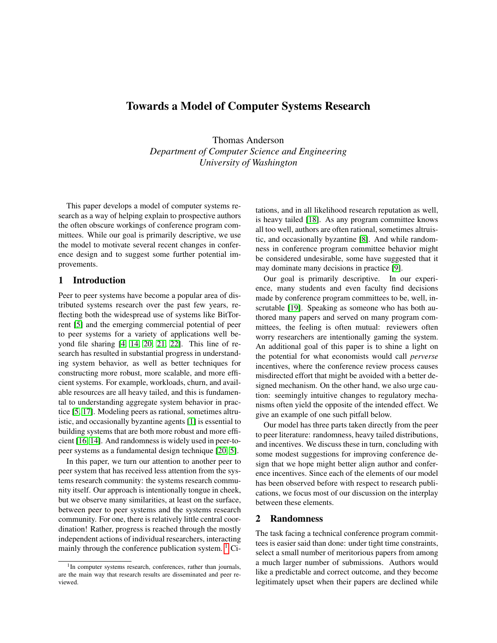# Towards a Model of Computer Systems Research

Thomas Anderson *Department of Computer Science and Engineering University of Washington*

This paper develops a model of computer systems research as a way of helping explain to prospective authors the often obscure workings of conference program committees. While our goal is primarily descriptive, we use the model to motivate several recent changes in conference design and to suggest some further potential improvements.

# 1 Introduction

Peer to peer systems have become a popular area of distributed systems research over the past few years, reflecting both the widespread use of systems like BitTorrent [\[5\]](#page-7-0) and the emerging commercial potential of peer to peer systems for a variety of applications well beyond file sharing [\[4,](#page-7-1) [14,](#page-7-2) [20,](#page-7-3) [21,](#page-7-4) [22\]](#page-7-5). This line of research has resulted in substantial progress in understanding system behavior, as well as better techniques for constructing more robust, more scalable, and more efficient systems. For example, workloads, churn, and available resources are all heavy tailed, and this is fundamental to understanding aggregate system behavior in practice [\[5,](#page-7-0) [17\]](#page-7-6). Modeling peers as rational, sometimes altruistic, and occasionally byzantine agents [\[1\]](#page-6-0) is essential to building systems that are both more robust and more efficient [\[16,](#page-7-7) [14\]](#page-7-2). And randomness is widely used in peer-topeer systems as a fundamental design technique [\[20,](#page-7-3) [5\]](#page-7-0).

In this paper, we turn our attention to another peer to peer system that has received less attention from the systems research community: the systems research community itself. Our approach is intentionally tongue in cheek, but we observe many similarities, at least on the surface, between peer to peer systems and the systems research community. For one, there is relatively little central coordination! Rather, progress is reached through the mostly independent actions of individual researchers, interacting mainly through the conference publication system.  $\frac{1}{1}$  Citations, and in all likelihood research reputation as well, is heavy tailed [\[18\]](#page-7-8). As any program committee knows all too well, authors are often rational, sometimes altruistic, and occasionally byzantine [\[8\]](#page-7-9). And while randomness in conference program committee behavior might be considered undesirable, some have suggested that it may dominate many decisions in practice [\[9\]](#page-7-10).

Our goal is primarily descriptive. In our experience, many students and even faculty find decisions made by conference program committees to be, well, inscrutable [\[19\]](#page-7-11). Speaking as someone who has both authored many papers and served on many program committees, the feeling is often mutual: reviewers often worry researchers are intentionally gaming the system. An additional goal of this paper is to shine a light on the potential for what economists would call *perverse* incentives, where the conference review process causes misdirected effort that might be avoided with a better designed mechanism. On the other hand, we also urge caution: seemingly intuitive changes to regulatory mechanisms often yield the opposite of the intended effect. We give an example of one such pitfall below.

Our model has three parts taken directly from the peer to peer literature: randomness, heavy tailed distributions, and incentives. We discuss these in turn, concluding with some modest suggestions for improving conference design that we hope might better align author and conference incentives. Since each of the elements of our model has been observed before with respect to research publications, we focus most of our discussion on the interplay between these elements.

### 2 Randomness

The task facing a technical conference program committees is easier said than done: under tight time constraints, select a small number of meritorious papers from among a much larger number of submissions. Authors would like a predictable and correct outcome, and they become legitimately upset when their papers are declined while

<sup>&</sup>lt;sup>1</sup>In computer systems research, conferences, rather than journals, are the main way that research results are disseminated and peer reviewed.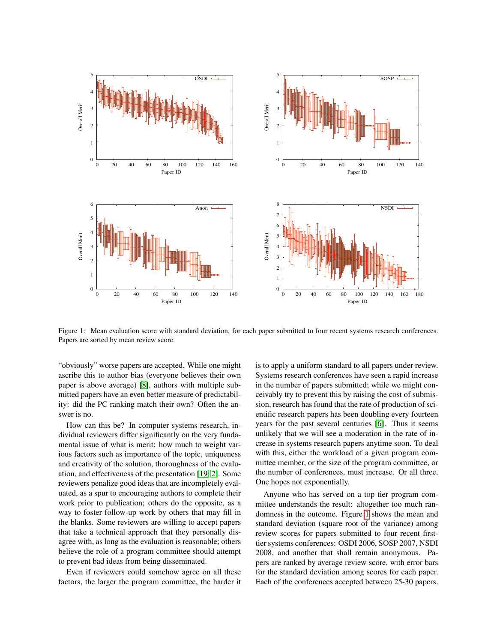

<span id="page-1-0"></span>Figure 1: Mean evaluation score with standard deviation, for each paper submitted to four recent systems research conferences. Papers are sorted by mean review score.

"obviously" worse papers are accepted. While one might ascribe this to author bias (everyone believes their own paper is above average) [\[8\]](#page-7-9), authors with multiple submitted papers have an even better measure of predictability: did the PC ranking match their own? Often the answer is no.

How can this be? In computer systems research, individual reviewers differ significantly on the very fundamental issue of what is merit: how much to weight various factors such as importance of the topic, uniqueness and creativity of the solution, thoroughness of the evaluation, and effectiveness of the presentation [\[19,](#page-7-11) [2\]](#page-6-1). Some reviewers penalize good ideas that are incompletely evaluated, as a spur to encouraging authors to complete their work prior to publication; others do the opposite, as a way to foster follow-up work by others that may fill in the blanks. Some reviewers are willing to accept papers that take a technical approach that they personally disagree with, as long as the evaluation is reasonable; others believe the role of a program committee should attempt to prevent bad ideas from being disseminated.

Even if reviewers could somehow agree on all these factors, the larger the program committee, the harder it is to apply a uniform standard to all papers under review. Systems research conferences have seen a rapid increase in the number of papers submitted; while we might conceivably try to prevent this by raising the cost of submission, research has found that the rate of production of scientific research papers has been doubling every fourteen years for the past several centuries [\[6\]](#page-7-12). Thus it seems unlikely that we will see a moderation in the rate of increase in systems research papers anytime soon. To deal with this, either the workload of a given program committee member, or the size of the program committee, or the number of conferences, must increase. Or all three. One hopes not exponentially.

Anyone who has served on a top tier program committee understands the result: altogether too much randomness in the outcome. Figure [1](#page-1-0) shows the mean and standard deviation (square root of the variance) among review scores for papers submitted to four recent firsttier systems conferences: OSDI 2006, SOSP 2007, NSDI 2008, and another that shall remain anonymous. Papers are ranked by average review score, with error bars for the standard deviation among scores for each paper. Each of the conferences accepted between 25-30 papers.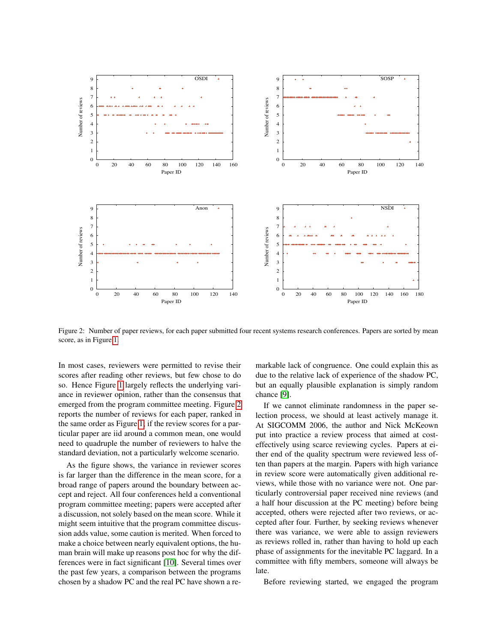

<span id="page-2-0"></span>Figure 2: Number of paper reviews, for each paper submitted four recent systems research conferences. Papers are sorted by mean score, as in Figure [1.](#page-1-0)

In most cases, reviewers were permitted to revise their scores after reading other reviews, but few chose to do so. Hence Figure [1](#page-1-0) largely reflects the underlying variance in reviewer opinion, rather than the consensus that emerged from the program committee meeting. Figure [2](#page-2-0) reports the number of reviews for each paper, ranked in the same order as Figure [1;](#page-1-0) if the review scores for a particular paper are iid around a common mean, one would need to quadruple the number of reviewers to halve the standard deviation, not a particularly welcome scenario.

As the figure shows, the variance in reviewer scores is far larger than the difference in the mean score, for a broad range of papers around the boundary between accept and reject. All four conferences held a conventional program committee meeting; papers were accepted after a discussion, not solely based on the mean score. While it might seem intuitive that the program committee discussion adds value, some caution is merited. When forced to make a choice between nearly equivalent options, the human brain will make up reasons post hoc for why the differences were in fact significant [\[10\]](#page-7-13). Several times over the past few years, a comparison between the programs chosen by a shadow PC and the real PC have shown a remarkable lack of congruence. One could explain this as due to the relative lack of experience of the shadow PC, but an equally plausible explanation is simply random chance [\[9\]](#page-7-10).

If we cannot eliminate randomness in the paper selection process, we should at least actively manage it. At SIGCOMM 2006, the author and Nick McKeown put into practice a review process that aimed at costeffectively using scarce reviewing cycles. Papers at either end of the quality spectrum were reviewed less often than papers at the margin. Papers with high variance in review score were automatically given additional reviews, while those with no variance were not. One particularly controversial paper received nine reviews (and a half hour discussion at the PC meeting) before being accepted, others were rejected after two reviews, or accepted after four. Further, by seeking reviews whenever there was variance, we were able to assign reviewers as reviews rolled in, rather than having to hold up each phase of assignments for the inevitable PC laggard. In a committee with fifty members, someone will always be late.

Before reviewing started, we engaged the program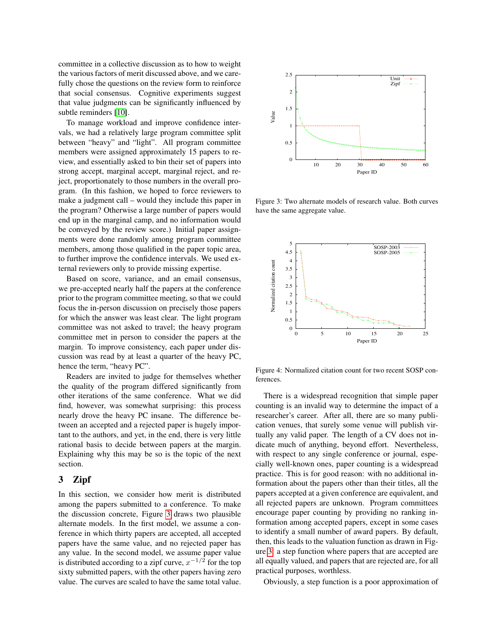committee in a collective discussion as to how to weight the various factors of merit discussed above, and we carefully chose the questions on the review form to reinforce that social consensus. Cognitive experiments suggest that value judgments can be significantly influenced by subtle reminders [\[10\]](#page-7-13).

To manage workload and improve confidence intervals, we had a relatively large program committee split between "heavy" and "light". All program committee members were assigned approximately 15 papers to review, and essentially asked to bin their set of papers into strong accept, marginal accept, marginal reject, and reject, proportionately to those numbers in the overall program. (In this fashion, we hoped to force reviewers to make a judgment call – would they include this paper in the program? Otherwise a large number of papers would end up in the marginal camp, and no information would be conveyed by the review score.) Initial paper assignments were done randomly among program committee members, among those qualified in the paper topic area, to further improve the confidence intervals. We used external reviewers only to provide missing expertise.

Based on score, variance, and an email consensus, we pre-accepted nearly half the papers at the conference prior to the program committee meeting, so that we could focus the in-person discussion on precisely those papers for which the answer was least clear. The light program committee was not asked to travel; the heavy program committee met in person to consider the papers at the margin. To improve consistency, each paper under discussion was read by at least a quarter of the heavy PC, hence the term, "heavy PC".

Readers are invited to judge for themselves whether the quality of the program differed significantly from other iterations of the same conference. What we did find, however, was somewhat surprising: this process nearly drove the heavy PC insane. The difference between an accepted and a rejected paper is hugely important to the authors, and yet, in the end, there is very little rational basis to decide between papers at the margin. Explaining why this may be so is the topic of the next section.

# 3 Zipf

In this section, we consider how merit is distributed among the papers submitted to a conference. To make the discussion concrete, Figure [3](#page-3-0) draws two plausible alternate models. In the first model, we assume a conference in which thirty papers are accepted, all accepted papers have the same value, and no rejected paper has any value. In the second model, we assume paper value is distributed according to a zipf curve,  $x^{-1/2}$  for the top sixty submitted papers, with the other papers having zero value. The curves are scaled to have the same total value.



<span id="page-3-0"></span>Figure 3: Two alternate models of research value. Both curves have the same aggregate value.



<span id="page-3-1"></span>Figure 4: Normalized citation count for two recent SOSP conferences.

There is a widespread recognition that simple paper counting is an invalid way to determine the impact of a researcher's career. After all, there are so many publication venues, that surely some venue will publish virtually any valid paper. The length of a CV does not indicate much of anything, beyond effort. Nevertheless, with respect to any single conference or journal, especially well-known ones, paper counting is a widespread practice. This is for good reason: with no additional information about the papers other than their titles, all the papers accepted at a given conference are equivalent, and all rejected papers are unknown. Program committees encourage paper counting by providing no ranking information among accepted papers, except in some cases to identify a small number of award papers. By default, then, this leads to the valuation function as drawn in Figure [3:](#page-3-0) a step function where papers that are accepted are all equally valued, and papers that are rejected are, for all practical purposes, worthless.

Obviously, a step function is a poor approximation of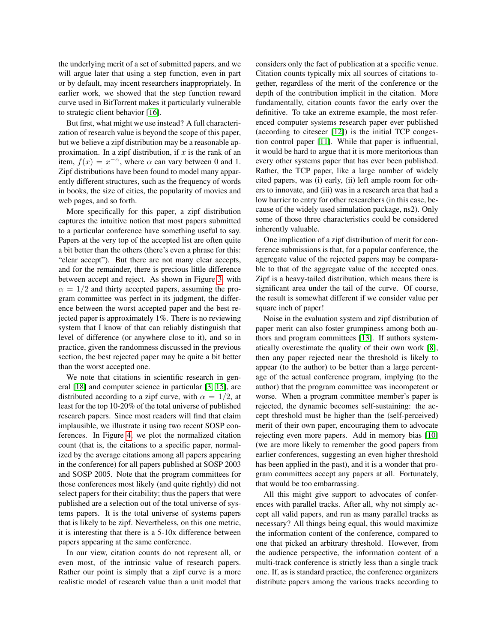the underlying merit of a set of submitted papers, and we will argue later that using a step function, even in part or by default, may incent researchers inappropriately. In earlier work, we showed that the step function reward curve used in BitTorrent makes it particularly vulnerable to strategic client behavior [\[16\]](#page-7-7).

But first, what might we use instead? A full characterization of research value is beyond the scope of this paper, but we believe a zipf distribution may be a reasonable approximation. In a zipf distribution, if  $x$  is the rank of an item,  $f(x) = x^{-\alpha}$ , where  $\alpha$  can vary between 0 and 1. Zipf distributions have been found to model many apparently different structures, such as the frequency of words in books, the size of cities, the popularity of movies and web pages, and so forth.

More specifically for this paper, a zipf distribution captures the intuitive notion that most papers submitted to a particular conference have something useful to say. Papers at the very top of the accepted list are often quite a bit better than the others (there's even a phrase for this: "clear accept"). But there are not many clear accepts, and for the remainder, there is precious little difference between accept and reject. As shown in Figure [3,](#page-3-0) with  $\alpha = 1/2$  and thirty accepted papers, assuming the program committee was perfect in its judgment, the difference between the worst accepted paper and the best rejected paper is approximately 1%. There is no reviewing system that I know of that can reliably distinguish that level of difference (or anywhere close to it), and so in practice, given the randomness discussed in the previous section, the best rejected paper may be quite a bit better than the worst accepted one.

We note that citations in scientific research in general [\[18\]](#page-7-8) and computer science in particular [\[3,](#page-7-14) [15\]](#page-7-15), are distributed according to a zipf curve, with  $\alpha = 1/2$ , at least for the top 10-20% of the total universe of published research papers. Since most readers will find that claim implausible, we illustrate it using two recent SOSP conferences. In Figure [4,](#page-3-1) we plot the normalized citation count (that is, the citations to a specific paper, normalized by the average citations among all papers appearing in the conference) for all papers published at SOSP 2003 and SOSP 2005. Note that the program committees for those conferences most likely (and quite rightly) did not select papers for their citability; thus the papers that were published are a selection out of the total universe of systems papers. It is the total universe of systems papers that is likely to be zipf. Nevertheless, on this one metric, it is interesting that there is a 5-10x difference between papers appearing at the same conference.

In our view, citation counts do not represent all, or even most, of the intrinsic value of research papers. Rather our point is simply that a zipf curve is a more realistic model of research value than a unit model that considers only the fact of publication at a specific venue. Citation counts typically mix all sources of citations together, regardless of the merit of the conference or the depth of the contribution implicit in the citation. More fundamentally, citation counts favor the early over the definitive. To take an extreme example, the most referenced computer systems research paper ever published (according to citeseer [\[12\]](#page-7-16)) is the initial TCP congestion control paper [\[11\]](#page-7-17). While that paper is influential, it would be hard to argue that it is more meritorious than every other systems paper that has ever been published. Rather, the TCP paper, like a large number of widely cited papers, was (i) early, (ii) left ample room for others to innovate, and (iii) was in a research area that had a low barrier to entry for other researchers (in this case, because of the widely used simulation package, ns2). Only some of those three characteristics could be considered inherently valuable.

One implication of a zipf distribution of merit for conference submissions is that, for a popular conference, the aggregate value of the rejected papers may be comparable to that of the aggregate value of the accepted ones. Zipf is a heavy-tailed distribution, which means there is significant area under the tail of the curve. Of course, the result is somewhat different if we consider value per square inch of paper!

Noise in the evaluation system and zipf distribution of paper merit can also foster grumpiness among both authors and program committees [\[13\]](#page-7-18). If authors systematically overestimate the quality of their own work [\[8\]](#page-7-9), then any paper rejected near the threshold is likely to appear (to the author) to be better than a large percentage of the actual conference program, implying (to the author) that the program committee was incompetent or worse. When a program committee member's paper is rejected, the dynamic becomes self-sustaining: the accept threshold must be higher than the (self-perceived) merit of their own paper, encouraging them to advocate rejecting even more papers. Add in memory bias [\[10\]](#page-7-13) (we are more likely to remember the good papers from earlier conferences, suggesting an even higher threshold has been applied in the past), and it is a wonder that program committees accept any papers at all. Fortunately, that would be too embarrassing.

All this might give support to advocates of conferences with parallel tracks. After all, why not simply accept all valid papers, and run as many parallel tracks as necessary? All things being equal, this would maximize the information content of the conference, compared to one that picked an arbitrary threshold. However, from the audience perspective, the information content of a multi-track conference is strictly less than a single track one. If, as is standard practice, the conference organizers distribute papers among the various tracks according to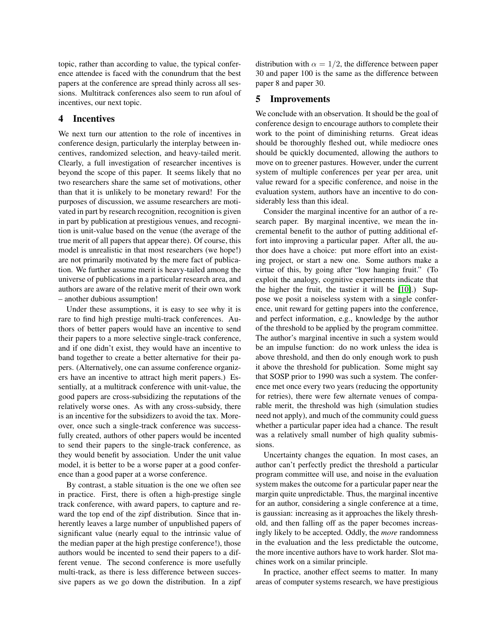topic, rather than according to value, the typical conference attendee is faced with the conundrum that the best papers at the conference are spread thinly across all sessions. Multitrack conferences also seem to run afoul of incentives, our next topic.

# 4 Incentives

We next turn our attention to the role of incentives in conference design, particularly the interplay between incentives, randomized selection, and heavy-tailed merit. Clearly, a full investigation of researcher incentives is beyond the scope of this paper. It seems likely that no two researchers share the same set of motivations, other than that it is unlikely to be monetary reward! For the purposes of discussion, we assume researchers are motivated in part by research recognition, recognition is given in part by publication at prestigious venues, and recognition is unit-value based on the venue (the average of the true merit of all papers that appear there). Of course, this model is unrealistic in that most researchers (we hope!) are not primarily motivated by the mere fact of publication. We further assume merit is heavy-tailed among the universe of publications in a particular research area, and authors are aware of the relative merit of their own work – another dubious assumption!

Under these assumptions, it is easy to see why it is rare to find high prestige multi-track conferences. Authors of better papers would have an incentive to send their papers to a more selective single-track conference, and if one didn't exist, they would have an incentive to band together to create a better alternative for their papers. (Alternatively, one can assume conference organizers have an incentive to attract high merit papers.) Essentially, at a multitrack conference with unit-value, the good papers are cross-subsidizing the reputations of the relatively worse ones. As with any cross-subsidy, there is an incentive for the subsidizers to avoid the tax. Moreover, once such a single-track conference was successfully created, authors of other papers would be incented to send their papers to the single-track conference, as they would benefit by association. Under the unit value model, it is better to be a worse paper at a good conference than a good paper at a worse conference.

By contrast, a stable situation is the one we often see in practice. First, there is often a high-prestige single track conference, with award papers, to capture and reward the top end of the zipf distribution. Since that inherently leaves a large number of unpublished papers of significant value (nearly equal to the intrinsic value of the median paper at the high prestige conference!), those authors would be incented to send their papers to a different venue. The second conference is more usefully multi-track, as there is less difference between successive papers as we go down the distribution. In a zipf distribution with  $\alpha = 1/2$ , the difference between paper 30 and paper 100 is the same as the difference between paper 8 and paper 30.

#### 5 Improvements

We conclude with an observation. It should be the goal of conference design to encourage authors to complete their work to the point of diminishing returns. Great ideas should be thoroughly fleshed out, while mediocre ones should be quickly documented, allowing the authors to move on to greener pastures. However, under the current system of multiple conferences per year per area, unit value reward for a specific conference, and noise in the evaluation system, authors have an incentive to do considerably less than this ideal.

Consider the marginal incentive for an author of a research paper. By marginal incentive, we mean the incremental benefit to the author of putting additional effort into improving a particular paper. After all, the author does have a choice: put more effort into an existing project, or start a new one. Some authors make a virtue of this, by going after "low hanging fruit." (To exploit the analogy, cognitive experiments indicate that the higher the fruit, the tastier it will be [\[10\]](#page-7-13).) Suppose we posit a noiseless system with a single conference, unit reward for getting papers into the conference, and perfect information, e.g., knowledge by the author of the threshold to be applied by the program committee. The author's marginal incentive in such a system would be an impulse function: do no work unless the idea is above threshold, and then do only enough work to push it above the threshold for publication. Some might say that SOSP prior to 1990 was such a system. The conference met once every two years (reducing the opportunity for retries), there were few alternate venues of comparable merit, the threshold was high (simulation studies need not apply), and much of the community could guess whether a particular paper idea had a chance. The result was a relatively small number of high quality submissions.

Uncertainty changes the equation. In most cases, an author can't perfectly predict the threshold a particular program committee will use, and noise in the evaluation system makes the outcome for a particular paper near the margin quite unpredictable. Thus, the marginal incentive for an author, considering a single conference at a time, is gaussian: increasing as it approaches the likely threshold, and then falling off as the paper becomes increasingly likely to be accepted. Oddly, the *more* randomness in the evaluation and the less predictable the outcome, the more incentive authors have to work harder. Slot machines work on a similar principle.

In practice, another effect seems to matter. In many areas of computer systems research, we have prestigious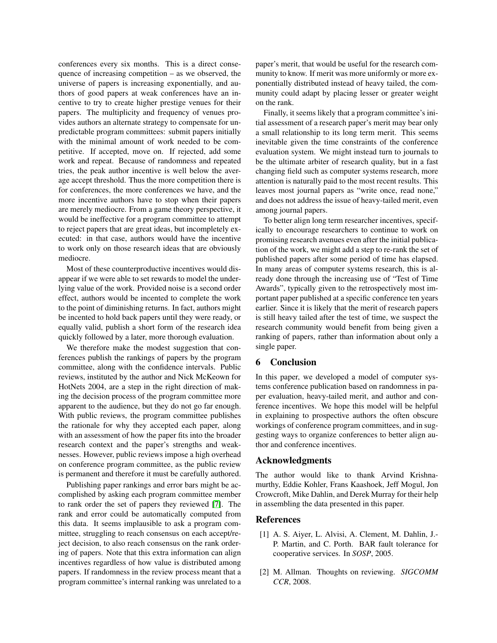conferences every six months. This is a direct consequence of increasing competition – as we observed, the universe of papers is increasing exponentially, and authors of good papers at weak conferences have an incentive to try to create higher prestige venues for their papers. The multiplicity and frequency of venues provides authors an alternate strategy to compensate for unpredictable program committees: submit papers initially with the minimal amount of work needed to be competitive. If accepted, move on. If rejected, add some work and repeat. Because of randomness and repeated tries, the peak author incentive is well below the average accept threshold. Thus the more competition there is for conferences, the more conferences we have, and the more incentive authors have to stop when their papers are merely mediocre. From a game theory perspective, it would be ineffective for a program committee to attempt to reject papers that are great ideas, but incompletely executed: in that case, authors would have the incentive to work only on those research ideas that are obviously mediocre.

Most of these counterproductive incentives would disappear if we were able to set rewards to model the underlying value of the work. Provided noise is a second order effect, authors would be incented to complete the work to the point of diminishing returns. In fact, authors might be incented to hold back papers until they were ready, or equally valid, publish a short form of the research idea quickly followed by a later, more thorough evaluation.

We therefore make the modest suggestion that conferences publish the rankings of papers by the program committee, along with the confidence intervals. Public reviews, instituted by the author and Nick McKeown for HotNets 2004, are a step in the right direction of making the decision process of the program committee more apparent to the audience, but they do not go far enough. With public reviews, the program committee publishes the rationale for why they accepted each paper, along with an assessment of how the paper fits into the broader research context and the paper's strengths and weaknesses. However, public reviews impose a high overhead on conference program committee, as the public review is permanent and therefore it must be carefully authored.

Publishing paper rankings and error bars might be accomplished by asking each program committee member to rank order the set of papers they reviewed [\[7\]](#page-7-19). The rank and error could be automatically computed from this data. It seems implausible to ask a program committee, struggling to reach consensus on each accept/reject decision, to also reach consensus on the rank ordering of papers. Note that this extra information can align incentives regardless of how value is distributed among papers. If randomness in the review process meant that a program committee's internal ranking was unrelated to a paper's merit, that would be useful for the research community to know. If merit was more uniformly or more exponentially distributed instead of heavy tailed, the community could adapt by placing lesser or greater weight on the rank.

Finally, it seems likely that a program committee's initial assessment of a research paper's merit may bear only a small relationship to its long term merit. This seems inevitable given the time constraints of the conference evaluation system. We might instead turn to journals to be the ultimate arbiter of research quality, but in a fast changing field such as computer systems research, more attention is naturally paid to the most recent results. This leaves most journal papers as "write once, read none," and does not address the issue of heavy-tailed merit, even among journal papers.

To better align long term researcher incentives, specifically to encourage researchers to continue to work on promising research avenues even after the initial publication of the work, we might add a step to re-rank the set of published papers after some period of time has elapsed. In many areas of computer systems research, this is already done through the increasing use of "Test of Time Awards", typically given to the retrospectively most important paper published at a specific conference ten years earlier. Since it is likely that the merit of research papers is still heavy tailed after the test of time, we suspect the research community would benefit from being given a ranking of papers, rather than information about only a single paper.

## 6 Conclusion

In this paper, we developed a model of computer systems conference publication based on randomness in paper evaluation, heavy-tailed merit, and author and conference incentives. We hope this model will be helpful in explaining to prospective authors the often obscure workings of conference program committees, and in suggesting ways to organize conferences to better align author and conference incentives.

## Acknowledgments

The author would like to thank Arvind Krishnamurthy, Eddie Kohler, Frans Kaashoek, Jeff Mogul, Jon Crowcroft, Mike Dahlin, and Derek Murray for their help in assembling the data presented in this paper.

### References

- <span id="page-6-0"></span>[1] A. S. Aiyer, L. Alvisi, A. Clement, M. Dahlin, J.- P. Martin, and C. Porth. BAR fault tolerance for cooperative services. In *SOSP*, 2005.
- <span id="page-6-1"></span>[2] M. Allman. Thoughts on reviewing. *SIGCOMM CCR*, 2008.